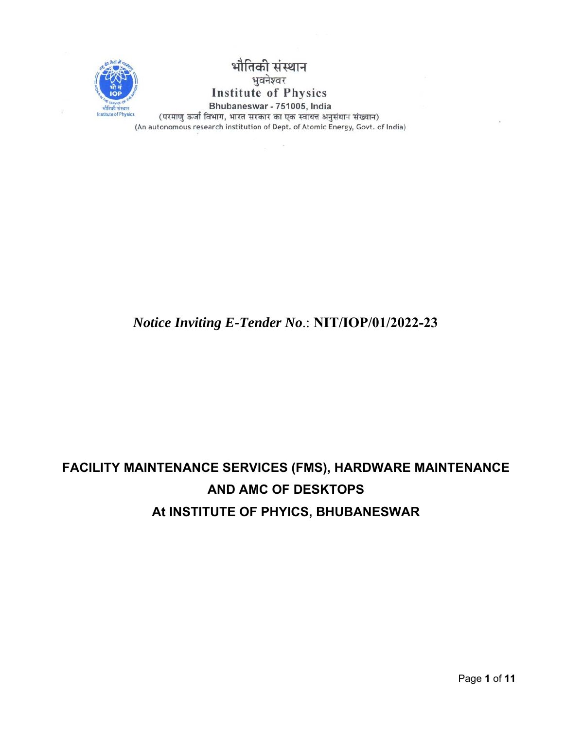

भौ तकी संस्थान भुवनेश्वर **Institute of Physics** Bhubaneswar - 751005, India

(परमाणु ऊर्जा विभाग, भारत सरकार का एक स्वायत्त अनुसंधान संख्यान) (An autonomous research institution of Dept. of Atomic Energy, Govt. of India)

### *Notice Inviting E-Tender No*.: **NIT/IOP/01/2022-23**

# **FACILITY MAINTENANCE SERVICES (FMS), HARDWARE MAINTENANCE AND AMC OF DESKTOPS At INSTITUTE OF PHYICS, BHUBANESWAR**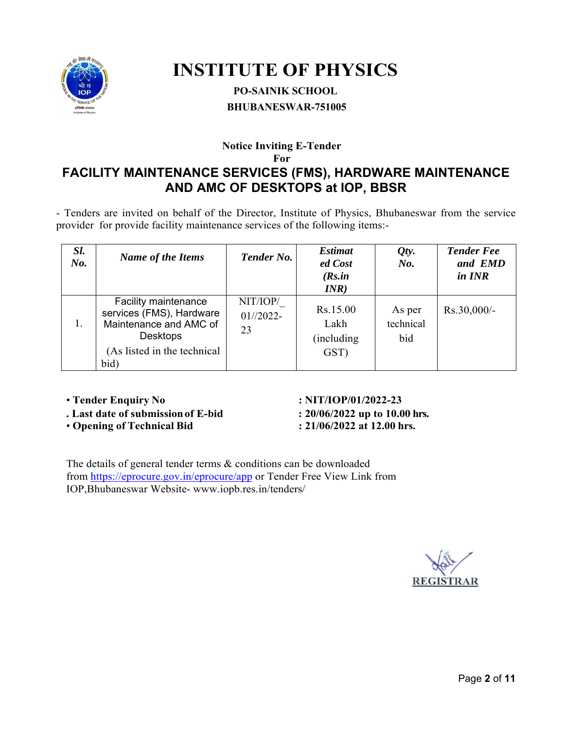

# **INSTITUTE OF PHYSICS**

### **PO-SAINIK SCHOOL BHUBANESWAR-751005**

### **Notice Inviting E-Tender**

**For**

### **FACILITY MAINTENANCE SERVICES (FMS), HARDWARE MAINTENANCE AND AMC OF DESKTOPS at IOP, BBSR**

- Tenders are invited on behalf of the Director, Institute of Physics, Bhubaneswar from the service provider for provide facility maintenance services of the following items:-

| Sl.<br>No. | <b>Name of the Items</b>                                                                                                                    | <b>Tender No.</b>             | <b>Estimat</b><br>ed Cost<br>(Rs.in<br>INR) | Qty.<br>No.                | <b>Tender Fee</b><br>and EMD<br>in INR |
|------------|---------------------------------------------------------------------------------------------------------------------------------------------|-------------------------------|---------------------------------------------|----------------------------|----------------------------------------|
|            | <b>Facility maintenance</b><br>services (FMS), Hardware<br>Maintenance and AMC of<br><b>Desktops</b><br>(As listed in the technical<br>bid) | NIT/IOP/<br>$01//2022-$<br>23 | Rs.15.00<br>Lakh<br>(including)<br>GST)     | As per<br>technical<br>bid | Rs.30,000/-                            |

- **.** Last date of submission of E-bid : 20/06/2022 up to 10.00 hrs.<br>
Opening of Technical Bid : 21/06/2022 at 12.00 hrs.
- **Opening of Technical Bid**
- **Tender Enquiry No : NIT/IOP/01/2022-23**

The details of general tender terms & conditions can be downloaded from https://eprocure.gov.in/eprocure/app or Tender Free View Link from IOP,Bhubaneswar Website- www.iopb.res.in/tenders/

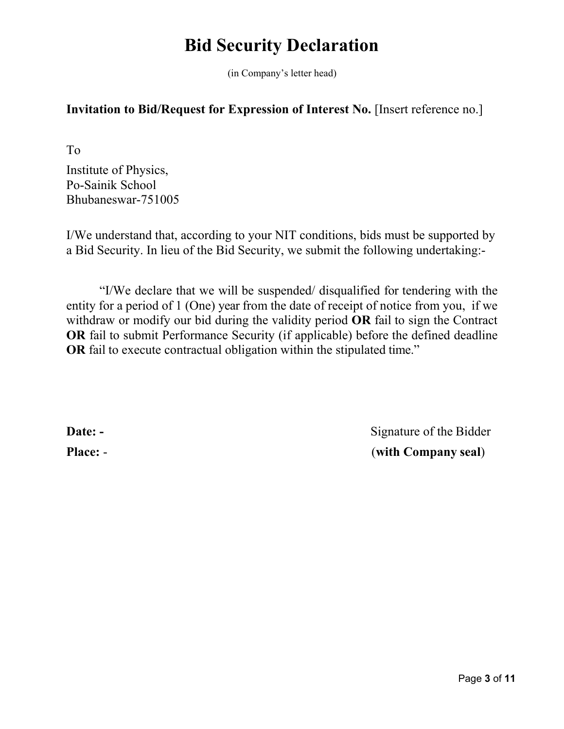# **Bid Security Declaration**

(in Company's letter head)

### **Invitation to Bid/Request for Expression of Interest No. [Insert reference no.]**

To

Institute of Physics, Po-Sainik School Bhubaneswar-751005

I/We understand that, according to your NIT conditions, bids must be supported by a Bid Security. In lieu of the Bid Security, we submit the following undertaking:-

"I/We declare that we will be suspended/ disqualified for tendering with the entity for a period of 1 (One) year from the date of receipt of notice from you, if we withdraw or modify our bid during the validity period **OR** fail to sign the Contract **OR** fail to submit Performance Security (if applicable) before the defined deadline **OR** fail to execute contractual obligation within the stipulated time."

**Date: -** Signature of the Bidder **Place:** - (**with Company seal**)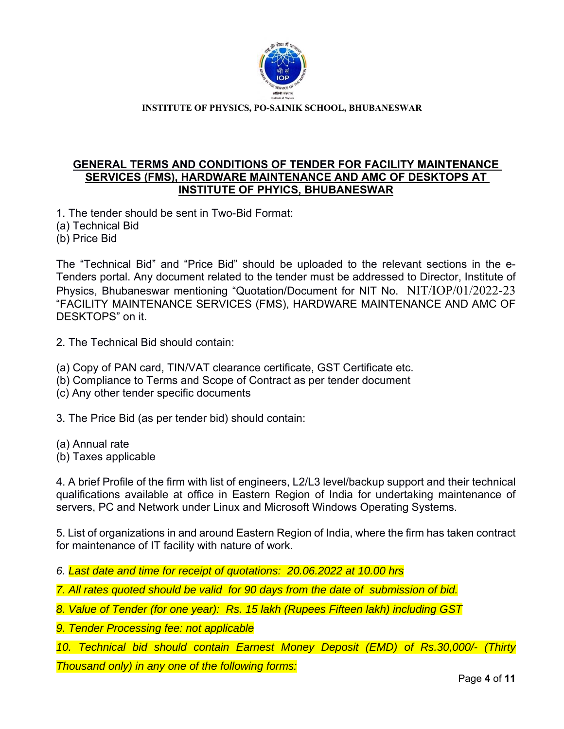

**INSTITUTE OF PHYSICS, PO-SAINIK SCHOOL, BHUBANESWAR** 

#### **GENERAL TERMS AND CONDITIONS OF TENDER FOR FACILITY MAINTENANCE SERVICES (FMS), HARDWARE MAINTENANCE AND AMC OF DESKTOPS AT INSTITUTE OF PHYICS, BHUBANESWAR**

1. The tender should be sent in Two-Bid Format:

(a) Technical Bid

(b) Price Bid

The "Technical Bid" and "Price Bid" should be uploaded to the relevant sections in the e-Tenders portal. Any document related to the tender must be addressed to Director, Institute of Physics, Bhubaneswar mentioning "Quotation/Document for NIT No. NIT/IOP/01/2022-23 "FACILITY MAINTENANCE SERVICES (FMS), HARDWARE MAINTENANCE AND AMC OF DESKTOPS" on it.

2. The Technical Bid should contain:

- (a) Copy of PAN card, TIN/VAT clearance certificate, GST Certificate etc.
- (b) Compliance to Terms and Scope of Contract as per tender document

(c) Any other tender specific documents

3. The Price Bid (as per tender bid) should contain:

(a) Annual rate

(b) Taxes applicable

4. A brief Profile of the firm with list of engineers, L2/L3 level/backup support and their technical qualifications available at office in Eastern Region of India for undertaking maintenance of servers, PC and Network under Linux and Microsoft Windows Operating Systems.

5. List of organizations in and around Eastern Region of India, where the firm has taken contract for maintenance of IT facility with nature of work.

*6. Last date and time for receipt of quotations: 20.06.2022 at 10.00 hrs* 

*7. All rates quoted should be valid for 90 days from the date of submission of bid.* 

*8. Value of Tender (for one year): Rs. 15 lakh (Rupees Fifteen lakh) including GST* 

*9. Tender Processing fee: not applicable* 

*10. Technical bid should contain Earnest Money Deposit (EMD) of Rs.30,000/- (Thirty Thousand only) in any one of the following forms:*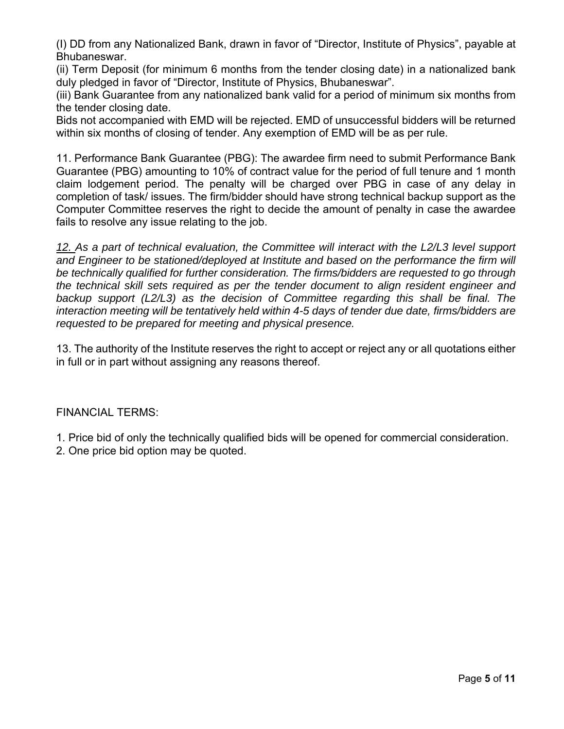(I) DD from any Nationalized Bank, drawn in favor of "Director, Institute of Physics", payable at Bhubaneswar.

(ii) Term Deposit (for minimum 6 months from the tender closing date) in a nationalized bank duly pledged in favor of "Director, Institute of Physics, Bhubaneswar".

(iii) Bank Guarantee from any nationalized bank valid for a period of minimum six months from the tender closing date.

Bids not accompanied with EMD will be rejected. EMD of unsuccessful bidders will be returned within six months of closing of tender. Any exemption of EMD will be as per rule.

11. Performance Bank Guarantee (PBG): The awardee firm need to submit Performance Bank Guarantee (PBG) amounting to 10% of contract value for the period of full tenure and 1 month claim lodgement period. The penalty will be charged over PBG in case of any delay in completion of task/ issues. The firm/bidder should have strong technical backup support as the Computer Committee reserves the right to decide the amount of penalty in case the awardee fails to resolve any issue relating to the job.

*12. As a part of technical evaluation, the Committee will interact with the L2/L3 level support and Engineer to be stationed/deployed at Institute and based on the performance the firm will be technically qualified for further consideration. The firms/bidders are requested to go through the technical skill sets required as per the tender document to align resident engineer and backup support (L2/L3) as the decision of Committee regarding this shall be final. The interaction meeting will be tentatively held within 4-5 days of tender due date, firms/bidders are requested to be prepared for meeting and physical presence.*

13. The authority of the Institute reserves the right to accept or reject any or all quotations either in full or in part without assigning any reasons thereof.

FINANCIAL TERMS:

- 1. Price bid of only the technically qualified bids will be opened for commercial consideration.
- 2. One price bid option may be quoted.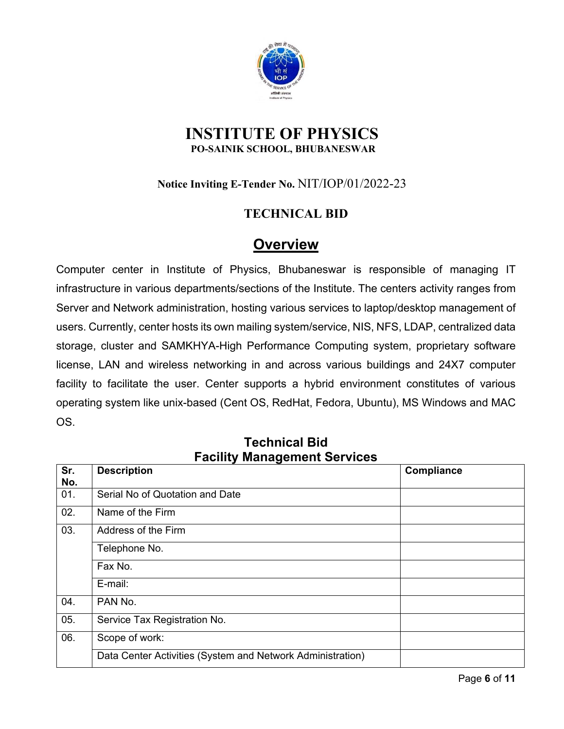

### **INSTITUTE OF PHYSICS PO-SAINIK SCHOOL, BHUBANESWAR**

### **Notice Inviting E-Tender No.** NIT/IOP/01/2022-23

### **TECHNICAL BID**

### **Overview**

Computer center in Institute of Physics, Bhubaneswar is responsible of managing IT infrastructure in various departments/sections of the Institute. The centers activity ranges from Server and Network administration, hosting various services to laptop/desktop management of users. Currently, center hosts its own mailing system/service, NIS, NFS, LDAP, centralized data storage, cluster and SAMKHYA-High Performance Computing system, proprietary software license, LAN and wireless networking in and across various buildings and 24X7 computer facility to facilitate the user. Center supports a hybrid environment constitutes of various operating system like unix-based (Cent OS, RedHat, Fedora, Ubuntu), MS Windows and MAC OS.

| Sr. | <b>Description</b>                                         | Compliance |
|-----|------------------------------------------------------------|------------|
| No. |                                                            |            |
| 01. | Serial No of Quotation and Date                            |            |
| 02. | Name of the Firm                                           |            |
| 03. | Address of the Firm                                        |            |
|     | Telephone No.                                              |            |
|     | Fax No.                                                    |            |
|     | E-mail:                                                    |            |
| 04. | PAN No.                                                    |            |
| 05. | Service Tax Registration No.                               |            |
| 06. | Scope of work:                                             |            |
|     | Data Center Activities (System and Network Administration) |            |

### **Technical Bid Facility Management Services**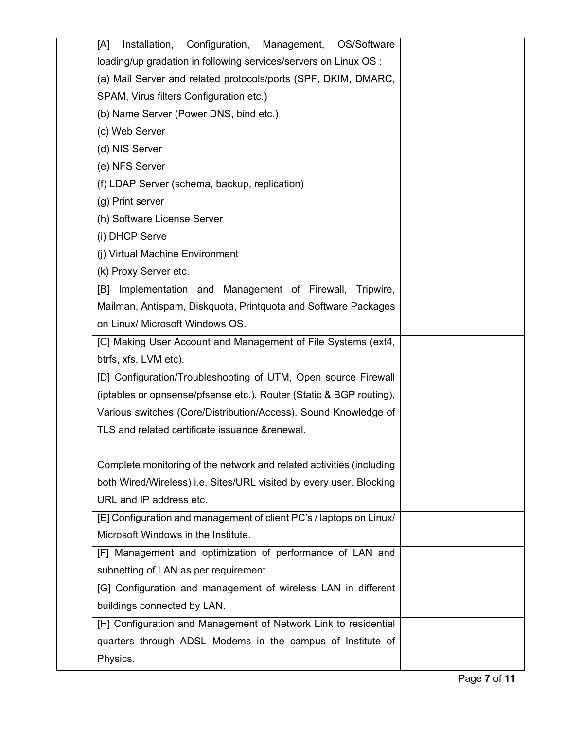| Configuration,<br>Installation,<br>Management,<br>OS/Software<br>[A] |  |
|----------------------------------------------------------------------|--|
| loading/up gradation in following services/servers on Linux OS :     |  |
| (a) Mail Server and related protocols/ports (SPF, DKIM, DMARC,       |  |
| SPAM, Virus filters Configuration etc.)                              |  |
| (b) Name Server (Power DNS, bind etc.)                               |  |
| (c) Web Server                                                       |  |
| (d) NIS Server                                                       |  |
| (e) NFS Server                                                       |  |
| (f) LDAP Server (schema, backup, replication)                        |  |
| (g) Print server                                                     |  |
| (h) Software License Server                                          |  |
| (i) DHCP Serve                                                       |  |
| (j) Virtual Machine Environment                                      |  |
| (k) Proxy Server etc.                                                |  |
| Implementation and Management of Firewall, Tripwire,<br>[B]          |  |
| Mailman, Antispam, Diskquota, Printquota and Software Packages       |  |
| on Linux/ Microsoft Windows OS.                                      |  |
| [C] Making User Account and Management of File Systems (ext4,        |  |
| btrfs, xfs, LVM etc).                                                |  |
| [D] Configuration/Troubleshooting of UTM, Open source Firewall       |  |
| (iptables or opnsense/pfsense etc.), Router (Static & BGP routing),  |  |
| Various switches (Core/Distribution/Access). Sound Knowledge of      |  |
| TLS and related certificate issuance & renewal.                      |  |
|                                                                      |  |
| Complete monitoring of the network and related activities (including |  |
| both Wired/Wireless) i.e. Sites/URL visited by every user, Blocking  |  |
| URL and IP address etc.                                              |  |
| [E] Configuration and management of client PC's / laptops on Linux/  |  |
| Microsoft Windows in the Institute.                                  |  |
| [F] Management and optimization of performance of LAN and            |  |
| subnetting of LAN as per requirement.                                |  |
| [G] Configuration and management of wireless LAN in different        |  |
| buildings connected by LAN.                                          |  |
| [H] Configuration and Management of Network Link to residential      |  |
| quarters through ADSL Modems in the campus of Institute of           |  |
| Physics.                                                             |  |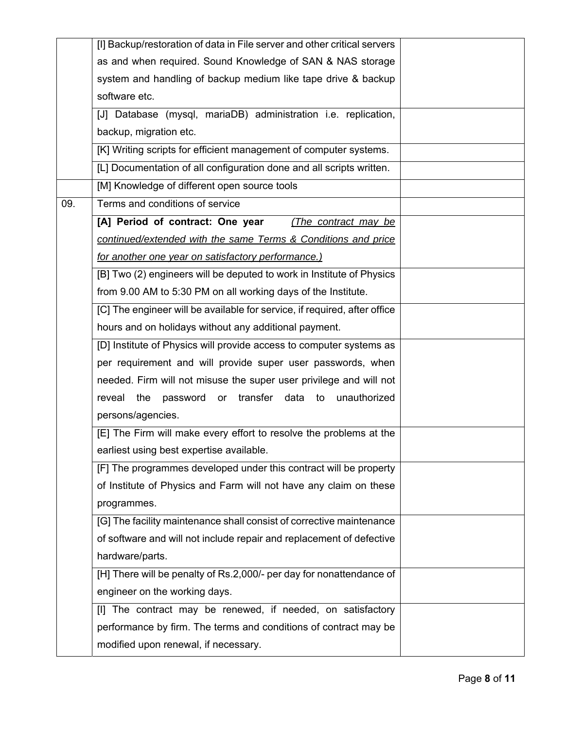|     | [I] Backup/restoration of data in File server and other critical servers  |  |
|-----|---------------------------------------------------------------------------|--|
|     | as and when required. Sound Knowledge of SAN & NAS storage                |  |
|     | system and handling of backup medium like tape drive & backup             |  |
|     | software etc.                                                             |  |
|     | [J] Database (mysql, mariaDB) administration i.e. replication,            |  |
|     | backup, migration etc.                                                    |  |
|     | [K] Writing scripts for efficient management of computer systems.         |  |
|     | [L] Documentation of all configuration done and all scripts written.      |  |
|     | [M] Knowledge of different open source tools                              |  |
| 09. | Terms and conditions of service                                           |  |
|     | [A] Period of contract: One year<br>(The contract may be                  |  |
|     | continued/extended with the same Terms & Conditions and price             |  |
|     | for another one year on satisfactory performance.)                        |  |
|     | [B] Two (2) engineers will be deputed to work in Institute of Physics     |  |
|     | from 9.00 AM to 5:30 PM on all working days of the Institute.             |  |
|     | [C] The engineer will be available for service, if required, after office |  |
|     | hours and on holidays without any additional payment.                     |  |
|     | [D] Institute of Physics will provide access to computer systems as       |  |
|     | per requirement and will provide super user passwords, when               |  |
|     | needed. Firm will not misuse the super user privilege and will not        |  |
|     | password or transfer data to unauthorized<br>reveal<br>the                |  |
|     | persons/agencies.                                                         |  |
|     | [E] The Firm will make every effort to resolve the problems at the        |  |
|     | earliest using best expertise available.                                  |  |
|     | [F] The programmes developed under this contract will be property         |  |
|     | of Institute of Physics and Farm will not have any claim on these         |  |
|     | programmes.                                                               |  |
|     | [G] The facility maintenance shall consist of corrective maintenance      |  |
|     | of software and will not include repair and replacement of defective      |  |
|     | hardware/parts.                                                           |  |
|     | [H] There will be penalty of Rs.2,000/- per day for nonattendance of      |  |
|     | engineer on the working days.                                             |  |
|     | [I] The contract may be renewed, if needed, on satisfactory               |  |
|     | performance by firm. The terms and conditions of contract may be          |  |
|     | modified upon renewal, if necessary.                                      |  |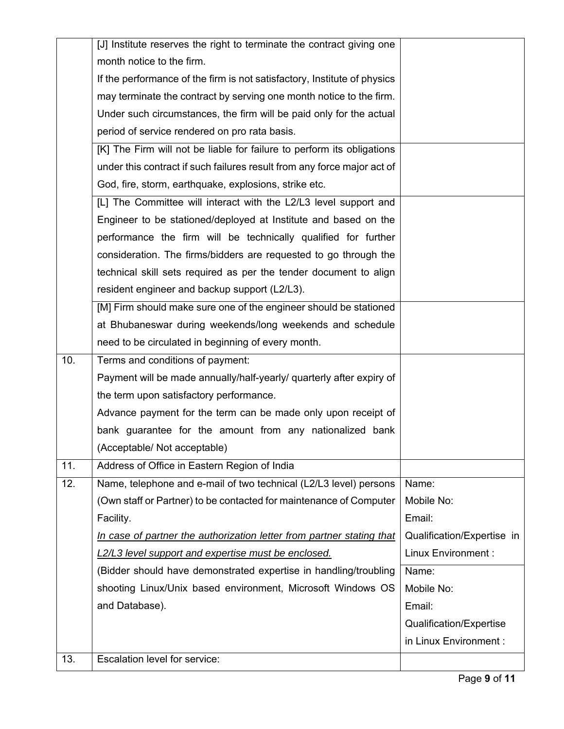|     | [J] Institute reserves the right to terminate the contract giving one    |                            |
|-----|--------------------------------------------------------------------------|----------------------------|
|     | month notice to the firm.                                                |                            |
|     | If the performance of the firm is not satisfactory, Institute of physics |                            |
|     | may terminate the contract by serving one month notice to the firm.      |                            |
|     | Under such circumstances, the firm will be paid only for the actual      |                            |
|     | period of service rendered on pro rata basis.                            |                            |
|     | [K] The Firm will not be liable for failure to perform its obligations   |                            |
|     | under this contract if such failures result from any force major act of  |                            |
|     | God, fire, storm, earthquake, explosions, strike etc.                    |                            |
|     | [L] The Committee will interact with the L2/L3 level support and         |                            |
|     | Engineer to be stationed/deployed at Institute and based on the          |                            |
|     | performance the firm will be technically qualified for further           |                            |
|     | consideration. The firms/bidders are requested to go through the         |                            |
|     | technical skill sets required as per the tender document to align        |                            |
|     | resident engineer and backup support (L2/L3).                            |                            |
|     | [M] Firm should make sure one of the engineer should be stationed        |                            |
|     | at Bhubaneswar during weekends/long weekends and schedule                |                            |
|     | need to be circulated in beginning of every month.                       |                            |
| 10. | Terms and conditions of payment:                                         |                            |
|     | Payment will be made annually/half-yearly/ quarterly after expiry of     |                            |
|     | the term upon satisfactory performance.                                  |                            |
|     | Advance payment for the term can be made only upon receipt of            |                            |
|     | bank guarantee for the amount from any nationalized bank                 |                            |
|     | (Acceptable/Not acceptable)                                              |                            |
| 11. | Address of Office in Eastern Region of India                             |                            |
| 12. | Name, telephone and e-mail of two technical (L2/L3 level) persons        | Name:                      |
|     | (Own staff or Partner) to be contacted for maintenance of Computer       | Mobile No:                 |
|     | Facility.                                                                | Email:                     |
|     | In case of partner the authorization letter from partner stating that    | Qualification/Expertise in |
|     | L2/L3 level support and expertise must be enclosed.                      | Linux Environment :        |
|     | (Bidder should have demonstrated expertise in handling/troubling         | Name:                      |
|     | shooting Linux/Unix based environment, Microsoft Windows OS              | Mobile No:                 |
|     | and Database).                                                           | Email:                     |
|     |                                                                          | Qualification/Expertise    |
|     |                                                                          | in Linux Environment :     |
| 13. | Escalation level for service:                                            |                            |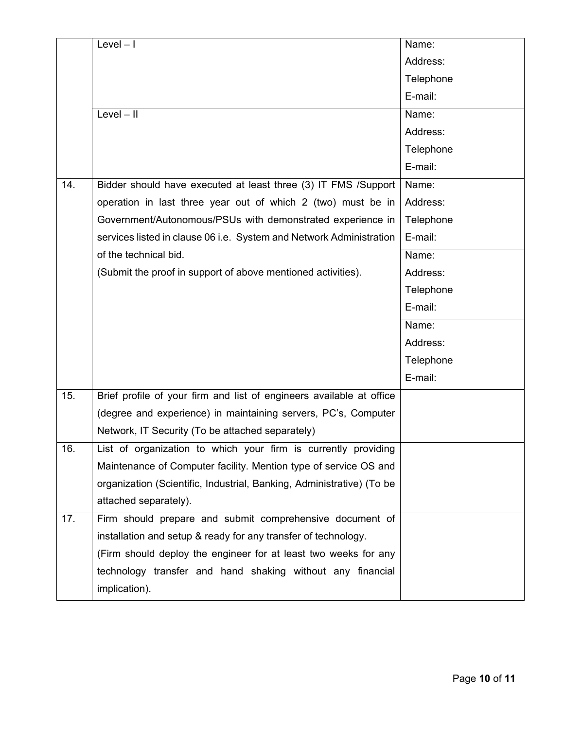|     | $Level - 1$                                                           | Name:     |
|-----|-----------------------------------------------------------------------|-----------|
|     |                                                                       | Address:  |
|     |                                                                       | Telephone |
|     |                                                                       | E-mail:   |
|     | $Level - II$                                                          | Name:     |
|     |                                                                       | Address:  |
|     |                                                                       | Telephone |
|     |                                                                       | E-mail:   |
| 14. | Bidder should have executed at least three (3) IT FMS /Support        | Name:     |
|     | operation in last three year out of which 2 (two) must be in          | Address:  |
|     | Government/Autonomous/PSUs with demonstrated experience in            | Telephone |
|     | services listed in clause 06 i.e. System and Network Administration   | E-mail:   |
|     | of the technical bid.                                                 | Name:     |
|     | (Submit the proof in support of above mentioned activities).          | Address:  |
|     |                                                                       | Telephone |
|     |                                                                       | E-mail:   |
|     |                                                                       | Name:     |
|     |                                                                       | Address:  |
|     |                                                                       | Telephone |
|     |                                                                       | E-mail:   |
| 15. | Brief profile of your firm and list of engineers available at office  |           |
|     | (degree and experience) in maintaining servers, PC's, Computer        |           |
|     | Network, IT Security (To be attached separately)                      |           |
| 16. | List of organization to which your firm is currently providing        |           |
|     | Maintenance of Computer facility. Mention type of service OS and      |           |
|     | organization (Scientific, Industrial, Banking, Administrative) (To be |           |
|     | attached separately).                                                 |           |
| 17. | Firm should prepare and submit comprehensive document of              |           |
|     | installation and setup & ready for any transfer of technology.        |           |
|     | (Firm should deploy the engineer for at least two weeks for any       |           |
|     | technology transfer and hand shaking without any financial            |           |
|     | implication).                                                         |           |
|     |                                                                       |           |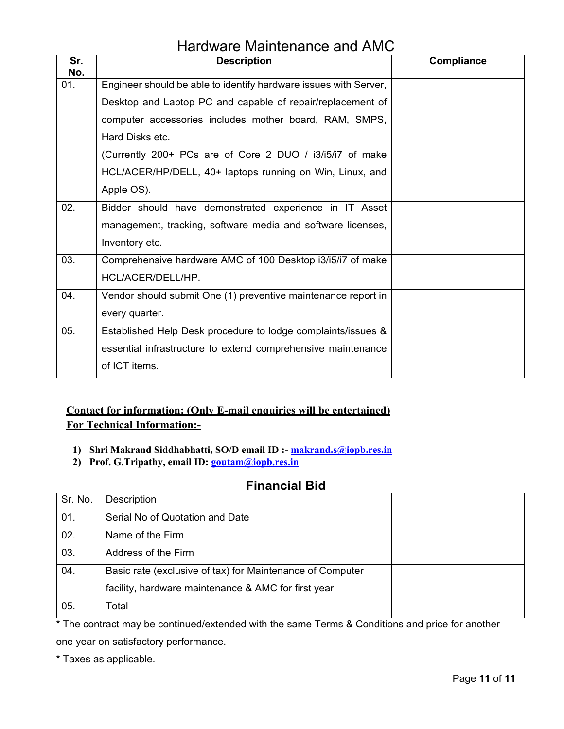### Hardware Maintenance and AMC

| Sr.<br>No. | <b>Description</b>                                               | Compliance |
|------------|------------------------------------------------------------------|------------|
| 01.        | Engineer should be able to identify hardware issues with Server, |            |
|            | Desktop and Laptop PC and capable of repair/replacement of       |            |
|            | computer accessories includes mother board, RAM, SMPS,           |            |
|            | Hard Disks etc.                                                  |            |
|            | (Currently 200+ PCs are of Core 2 DUO / i3/i5/i7 of make         |            |
|            | HCL/ACER/HP/DELL, 40+ laptops running on Win, Linux, and         |            |
|            | Apple OS).                                                       |            |
| 02.        | Bidder should have demonstrated experience in IT Asset           |            |
|            | management, tracking, software media and software licenses,      |            |
|            | Inventory etc.                                                   |            |
| 03.        | Comprehensive hardware AMC of 100 Desktop i3/i5/i7 of make       |            |
|            | HCL/ACER/DELL/HP.                                                |            |
| 04.        | Vendor should submit One (1) preventive maintenance report in    |            |
|            | every quarter.                                                   |            |
| 05.        | Established Help Desk procedure to lodge complaints/issues &     |            |
|            | essential infrastructure to extend comprehensive maintenance     |            |
|            | of ICT items.                                                    |            |

#### **Contact for information: (Only E-mail enquiries will be entertained) For Technical Information:-**

- **1) Shri Makrand Siddhabhatti, SO/D email ID :- makrand.s@iopb.res.in**
- **2) Prof. G.Tripathy, email ID: goutam@iopb.res.in**

#### **Financial Bid**

| Sr. No. | Description                                               |  |
|---------|-----------------------------------------------------------|--|
| 01.     | Serial No of Quotation and Date                           |  |
| 02.     | Name of the Firm                                          |  |
| 03.     | Address of the Firm                                       |  |
| 04.     | Basic rate (exclusive of tax) for Maintenance of Computer |  |
|         | facility, hardware maintenance & AMC for first year       |  |
| 05.     | otal <sup>.</sup>                                         |  |

\* The contract may be continued/extended with the same Terms & Conditions and price for another one year on satisfactory performance.

\* Taxes as applicable.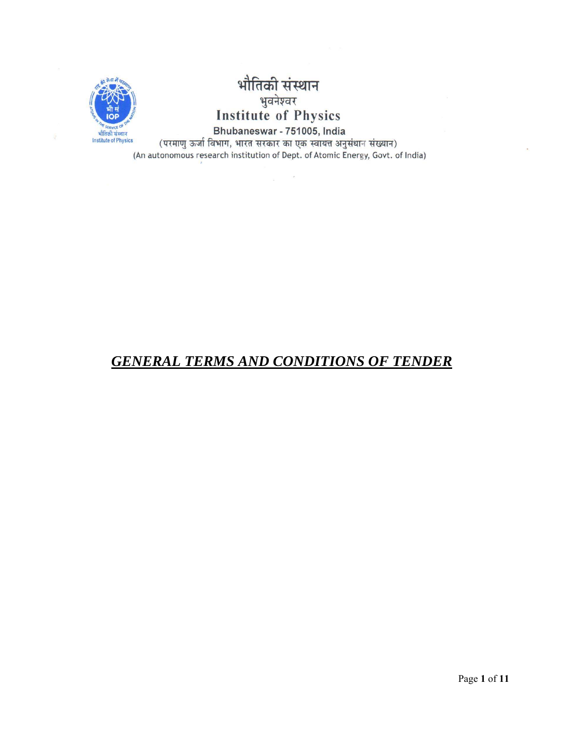

# भौतिकी संस्थान पार्तनी सर्वे<br>पुबनेश्वर<br>Institute of Physics

Bhubaneswar - 751005, India (परमाणु ऊर्जा विभाग, भारत सरकार का एक स्वायत्त अनुसंधान संख्यान) (An autonomous research institution of Dept. of Atomic Energy, Govt. of India)

 $\mathcal{C}$ 

### *GENERAL TERMS AND CONDITIONS OF TENDER*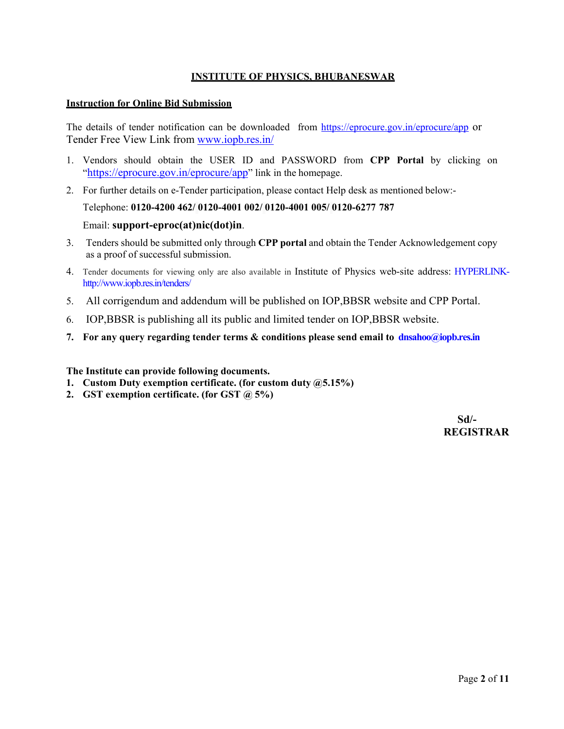#### **INSTITUTE OF PHYSICS, BHUBANESWAR**

#### **Instruction for Online Bid Submission**

The details of tender notification can be downloaded from https://eprocure.gov.in/eprocure/app or Tender Free View Link from www.iopb.res.in/

- 1. Vendors should obtain the USER ID and PASSWORD from **CPP Portal** by clicking on "https://eprocure.gov.in/eprocure/app" link in the homepage.
- 2. For further details on e-Tender participation, please contact Help desk as mentioned below:-

```
Telephone: 0120-4200 462/ 0120-4001 002/ 0120-4001 005/ 0120-6277 787
```
#### Email: **support-eproc(at)nic(dot)in**.

- 3. Tenders should be submitted only through **CPP portal** and obtain the Tender Acknowledgement copy as a proof of successful submission.
- 4. Tender documents for viewing only are also available in Institute of Physics web-site address: HYPERLINKhttp://www.iopb.res.in/tenders/
- 5. All corrigendum and addendum will be published on IOP,BBSR website and CPP Portal.
- 6. IOP,BBSR is publishing all its public and limited tender on IOP,BBSR website.
- **7. For any query regarding tender terms & conditions please send email to dnsahoo@iopb.res.in**

#### **The Institute can provide following documents.**

- **1. Custom Duty exemption certificate. (for custom duty @5.15%)**
- **2. GST exemption certificate. (for GST @ 5%)**

 **Sd/- REGISTRAR**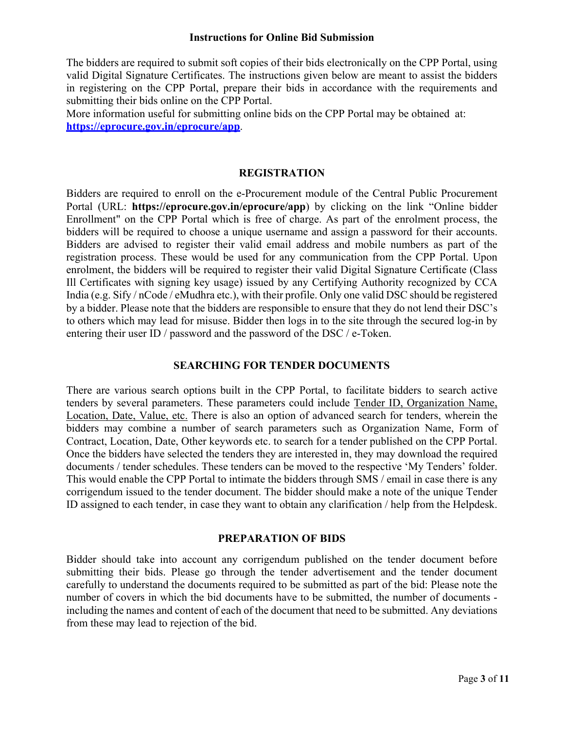#### **Instructions for Online Bid Submission**

The bidders are required to submit soft copies of their bids electronically on the CPP Portal, using valid Digital Signature Certificates. The instructions given below are meant to assist the bidders in registering on the CPP Portal, prepare their bids in accordance with the requirements and submitting their bids online on the CPP Portal.

More information useful for submitting online bids on the CPP Portal may be obtained at: **https://eprocure.gov.in/eprocure/app**.

#### **REGISTRATION**

Bidders are required to enroll on the e-Procurement module of the Central Public Procurement Portal (URL: **https://eprocure.gov.in/eprocure/app**) by clicking on the link "Online bidder Enrollment" on the CPP Portal which is free of charge. As part of the enrolment process, the bidders will be required to choose a unique username and assign a password for their accounts. Bidders are advised to register their valid email address and mobile numbers as part of the registration process. These would be used for any communication from the CPP Portal. Upon enrolment, the bidders will be required to register their valid Digital Signature Certificate (Class Ill Certificates with signing key usage) issued by any Certifying Authority recognized by CCA India (e.g. Sify / nCode / eMudhra etc.), with their profile. Only one valid DSC should be registered by a bidder. Please note that the bidders are responsible to ensure that they do not lend their DSC's to others which may lead for misuse. Bidder then logs in to the site through the secured log-in by entering their user ID / password and the password of the DSC / e-Token.

#### **SEARCHING FOR TENDER DOCUMENTS**

There are various search options built in the CPP Portal, to facilitate bidders to search active tenders by several parameters. These parameters could include Tender ID, Organization Name, Location, Date, Value, etc. There is also an option of advanced search for tenders, wherein the bidders may combine a number of search parameters such as Organization Name, Form of Contract, Location, Date, Other keywords etc. to search for a tender published on the CPP Portal. Once the bidders have selected the tenders they are interested in, they may download the required documents / tender schedules. These tenders can be moved to the respective 'My Tenders' folder. This would enable the CPP Portal to intimate the bidders through SMS / email in case there is any corrigendum issued to the tender document. The bidder should make a note of the unique Tender ID assigned to each tender, in case they want to obtain any clarification / help from the Helpdesk.

#### **PREPARATION OF BIDS**

Bidder should take into account any corrigendum published on the tender document before submitting their bids. Please go through the tender advertisement and the tender document carefully to understand the documents required to be submitted as part of the bid: Please note the number of covers in which the bid documents have to be submitted, the number of documents including the names and content of each of the document that need to be submitted. Any deviations from these may lead to rejection of the bid.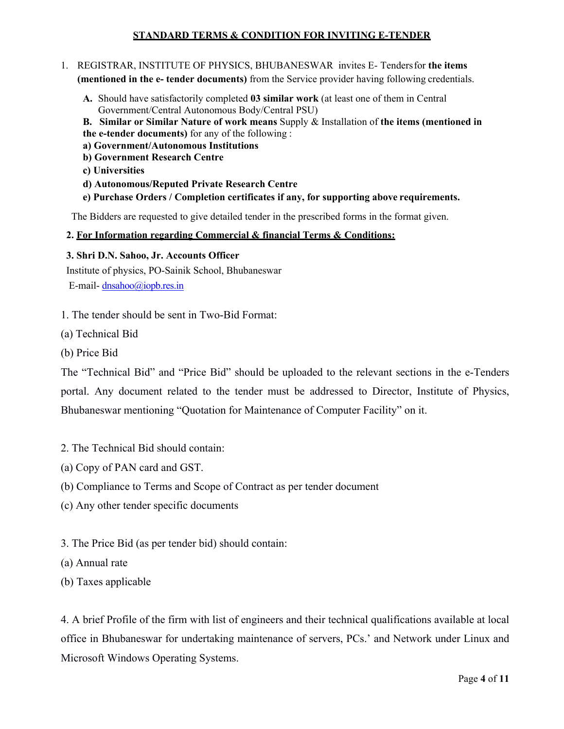#### **STANDARD TERMS & CONDITION FOR INVITING E-TENDER**

#### 1. REGISTRAR, INSTITUTE OF PHYSICS, BHUBANESWAR invites E- Tenders for **the items (mentioned in the e- tender documents)** from the Service provider having following credentials.

- **A.** Should have satisfactorily completed **03 similar work** (at least one of them in Central Government/Central Autonomous Body/Central PSU)
- **B. Similar or Similar Nature of work means** Supply & Installation of **the items (mentioned in**
- **the e-tender documents)** for any of the following :
- **a) Government/Autonomous Institutions**
- **b) Government Research Centre**
- **c) Universities**
- **d) Autonomous/Reputed Private Research Centre**
- **e) Purchase Orders / Completion certificates if any, for supporting above requirements.**

The Bidders are requested to give detailed tender in the prescribed forms in the format given.

#### **2. For Information regarding Commercial & financial Terms & Conditions:**

#### **3. Shri D.N. Sahoo, Jr. Accounts Officer**

Institute of physics, PO-Sainik School, Bhubaneswar E-mail- dnsahoo@iopb.res.in

- 1. The tender should be sent in Two-Bid Format:
- (a) Technical Bid
- (b) Price Bid

The "Technical Bid" and "Price Bid" should be uploaded to the relevant sections in the e-Tenders portal. Any document related to the tender must be addressed to Director, Institute of Physics, Bhubaneswar mentioning "Quotation for Maintenance of Computer Facility" on it.

- 2. The Technical Bid should contain:
- (a) Copy of PAN card and GST.
- (b) Compliance to Terms and Scope of Contract as per tender document
- (c) Any other tender specific documents
- 3. The Price Bid (as per tender bid) should contain:
- (a) Annual rate
- (b) Taxes applicable

4. A brief Profile of the firm with list of engineers and their technical qualifications available at local office in Bhubaneswar for undertaking maintenance of servers, PCs.' and Network under Linux and Microsoft Windows Operating Systems.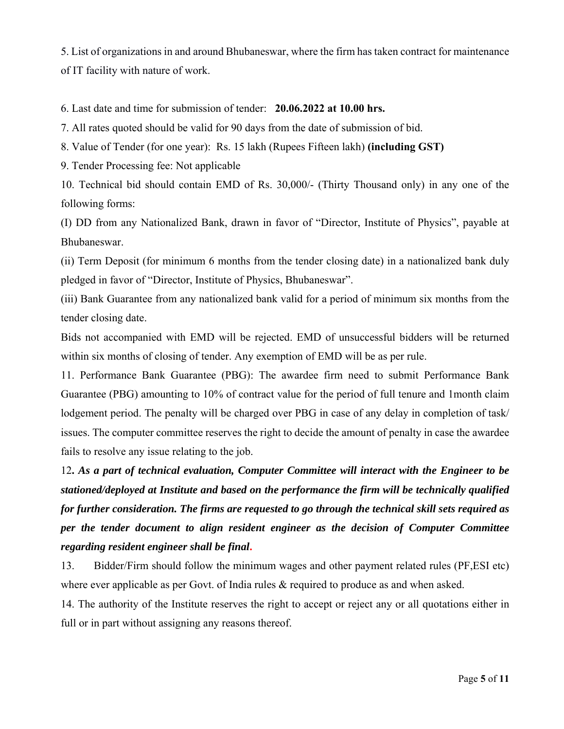5. List of organizations in and around Bhubaneswar, where the firm has taken contract for maintenance of IT facility with nature of work.

6. Last date and time for submission of tender: **20.06.2022 at 10.00 hrs.** 

7. All rates quoted should be valid for 90 days from the date of submission of bid.

8. Value of Tender (for one year): Rs. 15 lakh (Rupees Fifteen lakh) **(including GST)**

9. Tender Processing fee: Not applicable

10. Technical bid should contain EMD of Rs. 30,000/- (Thirty Thousand only) in any one of the following forms:

(I) DD from any Nationalized Bank, drawn in favor of "Director, Institute of Physics", payable at Bhubaneswar.

(ii) Term Deposit (for minimum 6 months from the tender closing date) in a nationalized bank duly pledged in favor of "Director, Institute of Physics, Bhubaneswar".

(iii) Bank Guarantee from any nationalized bank valid for a period of minimum six months from the tender closing date.

Bids not accompanied with EMD will be rejected. EMD of unsuccessful bidders will be returned within six months of closing of tender. Any exemption of EMD will be as per rule.

11. Performance Bank Guarantee (PBG): The awardee firm need to submit Performance Bank Guarantee (PBG) amounting to 10% of contract value for the period of full tenure and 1month claim lodgement period. The penalty will be charged over PBG in case of any delay in completion of task/ issues. The computer committee reserves the right to decide the amount of penalty in case the awardee fails to resolve any issue relating to the job.

12**.** *As a part of technical evaluation, Computer Committee will interact with the Engineer to be stationed/deployed at Institute and based on the performance the firm will be technically qualified for further consideration. The firms are requested to go through the technical skill sets required as per the tender document to align resident engineer as the decision of Computer Committee regarding resident engineer shall be final***.** 

13. Bidder/Firm should follow the minimum wages and other payment related rules (PF,ESI etc) where ever applicable as per Govt. of India rules  $\&$  required to produce as and when asked.

14. The authority of the Institute reserves the right to accept or reject any or all quotations either in full or in part without assigning any reasons thereof.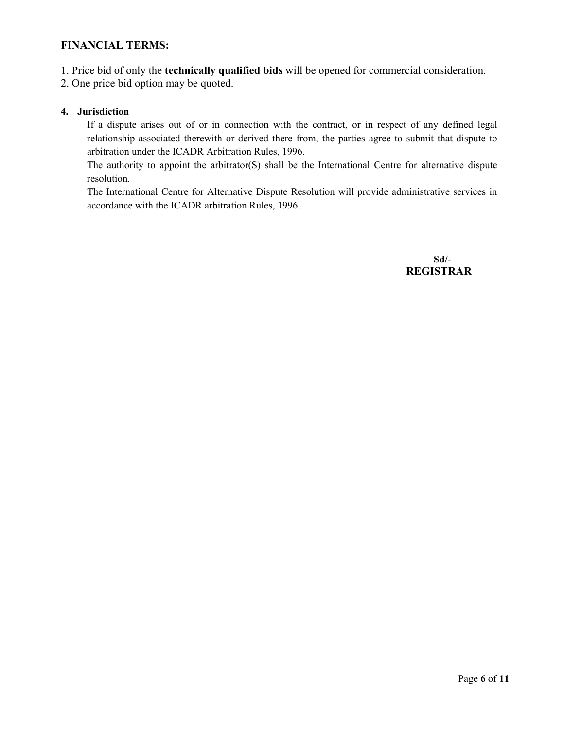#### **FINANCIAL TERMS:**

- 1. Price bid of only the **technically qualified bids** will be opened for commercial consideration.
- 2. One price bid option may be quoted.

#### **4. Jurisdiction**

If a dispute arises out of or in connection with the contract, or in respect of any defined legal relationship associated therewith or derived there from, the parties agree to submit that dispute to arbitration under the ICADR Arbitration Rules, 1996.

The authority to appoint the arbitrator(S) shall be the International Centre for alternative dispute resolution.

The International Centre for Alternative Dispute Resolution will provide administrative services in accordance with the ICADR arbitration Rules, 1996.

> **Sd/- REGISTRAR**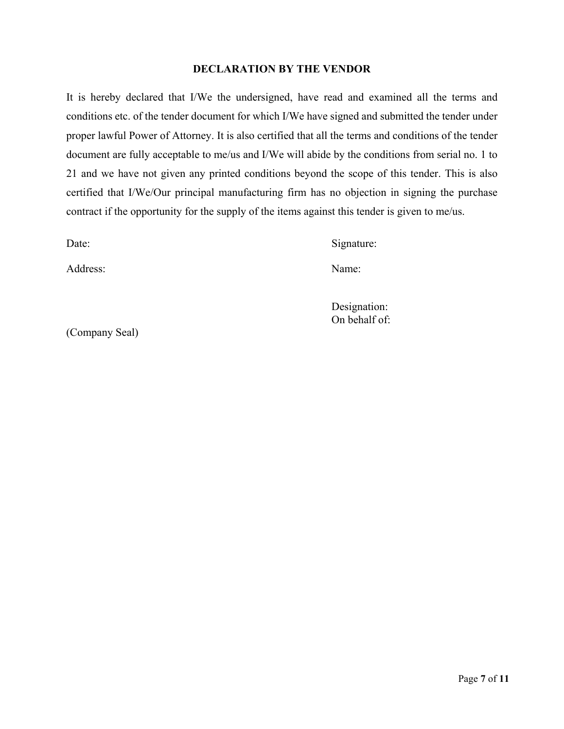#### **DECLARATION BY THE VENDOR**

It is hereby declared that I/We the undersigned, have read and examined all the terms and conditions etc. of the tender document for which I/We have signed and submitted the tender under proper lawful Power of Attorney. It is also certified that all the terms and conditions of the tender document are fully acceptable to me/us and I/We will abide by the conditions from serial no. 1 to 21 and we have not given any printed conditions beyond the scope of this tender. This is also certified that I/We/Our principal manufacturing firm has no objection in signing the purchase contract if the opportunity for the supply of the items against this tender is given to me/us.

Date: Signature:

Address: Name:

Designation: On behalf of:

(Company Seal)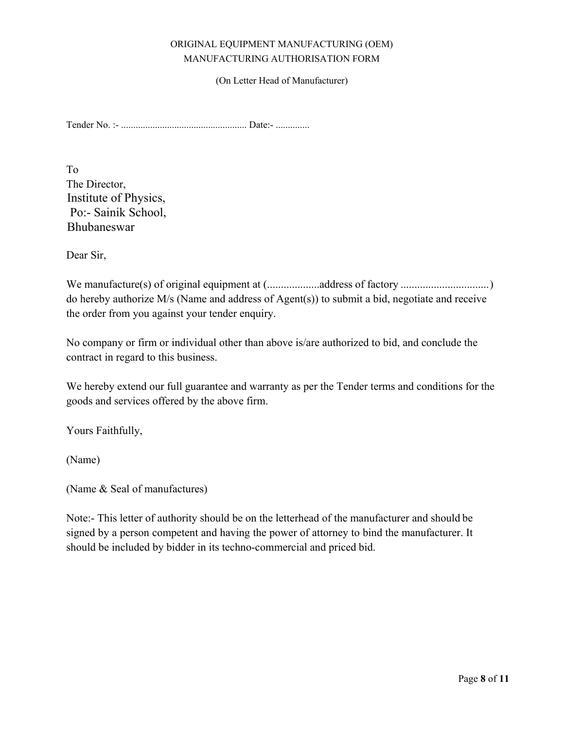#### ORIGINAL EQUIPMENT MANUFACTURING (OEM) MANUFACTURING AUTHORISATION FORM

(On Letter Head of Manufacturer)

Tender No. :- .................................................... Date:- ..............

To The Director, Institute of Physics, Po:- Sainik School, Bhubaneswar

Dear Sir,

We manufacture(s) of original equipment at (...................address of factory ................................ ) do hereby authorize M/s (Name and address of Agent(s)) to submit a bid, negotiate and receive the order from you against your tender enquiry.

No company or firm or individual other than above is/are authorized to bid, and conclude the contract in regard to this business.

We hereby extend our full guarantee and warranty as per the Tender terms and conditions for the goods and services offered by the above firm.

Yours Faithfully,

(Name)

(Name & Seal of manufactures)

Note:- This letter of authority should be on the letterhead of the manufacturer and should be signed by a person competent and having the power of attorney to bind the manufacturer. It should be included by bidder in its techno-commercial and priced bid.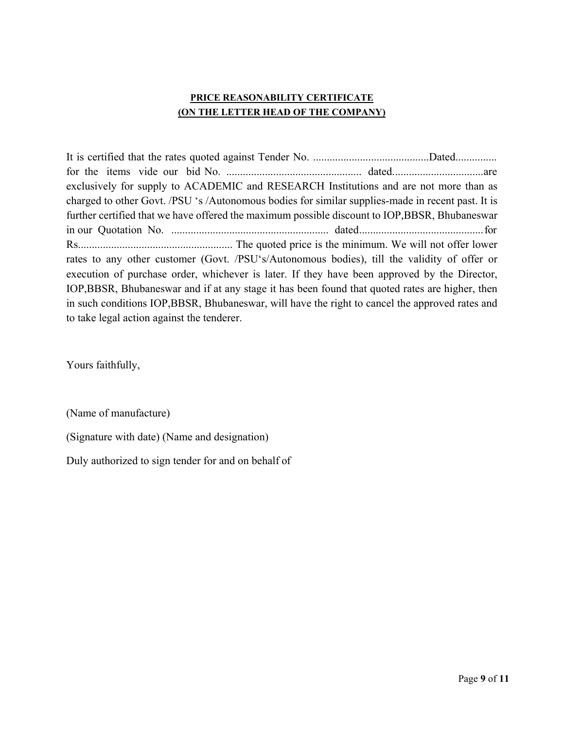#### **PRICE REASONABILITY CERTIFICATE (ON THE LETTER HEAD OF THE COMPANY)**

It is certified that the rates quoted against Tender No. ..........................................Dated............... for the items vide our bid No. ................................................. dated. ................................ are exclusively for supply to ACADEMIC and RESEARCH Institutions and are not more than as charged to other Govt. /PSU 's /Autonomous bodies for similar supplies-made in recent past. It is further certified that we have offered the maximum possible discount to IOP,BBSR, Bhubaneswar in our Quotation No. ......................................................... dated ............................................. for Rs........................................................ The quoted price is the minimum. We will not offer lower rates to any other customer (Govt. /PSU's/Autonomous bodies), till the validity of offer or execution of purchase order, whichever is later. If they have been approved by the Director, IOP,BBSR, Bhubaneswar and if at any stage it has been found that quoted rates are higher, then in such conditions IOP,BBSR, Bhubaneswar, will have the right to cancel the approved rates and to take legal action against the tenderer.

Yours faithfully,

(Name of manufacture)

(Signature with date) (Name and designation)

Duly authorized to sign tender for and on behalf of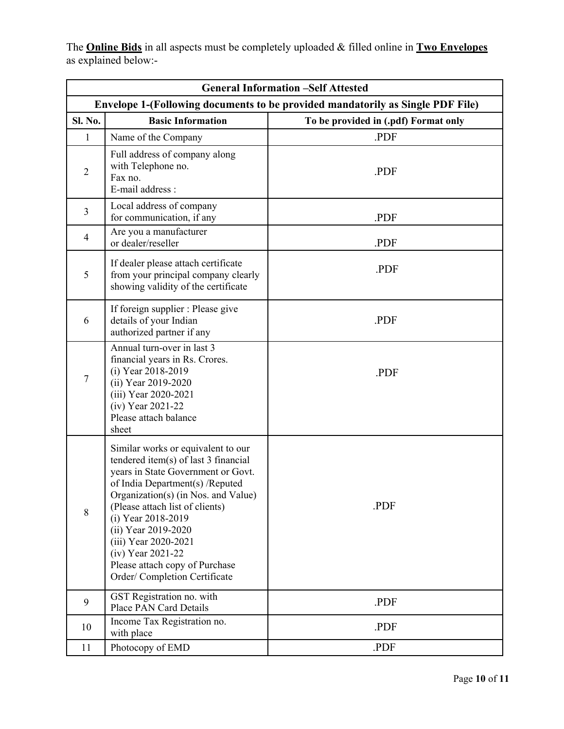The **Online Bids** in all aspects must be completely uploaded & filled online in **Two Envelopes**  as explained below:-

| <b>General Information -Self Attested</b>                                      |                                                                                                                                                                                                                                                                                                                                                                                            |                                      |
|--------------------------------------------------------------------------------|--------------------------------------------------------------------------------------------------------------------------------------------------------------------------------------------------------------------------------------------------------------------------------------------------------------------------------------------------------------------------------------------|--------------------------------------|
| Envelope 1-(Following documents to be provided mandatorily as Single PDF File) |                                                                                                                                                                                                                                                                                                                                                                                            |                                      |
| <b>Sl. No.</b>                                                                 | <b>Basic Information</b>                                                                                                                                                                                                                                                                                                                                                                   | To be provided in (.pdf) Format only |
| $\mathbf{1}$                                                                   | Name of the Company                                                                                                                                                                                                                                                                                                                                                                        | .PDF                                 |
| $\overline{2}$                                                                 | Full address of company along<br>with Telephone no.<br>Fax no.<br>E-mail address :                                                                                                                                                                                                                                                                                                         | PDF.                                 |
| $\mathfrak{Z}$                                                                 | Local address of company<br>for communication, if any                                                                                                                                                                                                                                                                                                                                      | PDF.                                 |
| $\overline{4}$                                                                 | Are you a manufacturer<br>or dealer/reseller                                                                                                                                                                                                                                                                                                                                               | .PDF                                 |
| 5                                                                              | If dealer please attach certificate<br>from your principal company clearly<br>showing validity of the certificate                                                                                                                                                                                                                                                                          | .PDF                                 |
| 6                                                                              | If foreign supplier : Please give<br>details of your Indian<br>authorized partner if any                                                                                                                                                                                                                                                                                                   | PDF.                                 |
| $\overline{7}$                                                                 | Annual turn-over in last 3<br>financial years in Rs. Crores.<br>(i) Year 2018-2019<br>(ii) Year 2019-2020<br>(iii) Year 2020-2021<br>(iv) Year 2021-22<br>Please attach balance<br>sheet                                                                                                                                                                                                   | .PDF                                 |
| $\,8\,$                                                                        | Similar works or equivalent to our<br>tendered item(s) of last 3 financial<br>years in State Government or Govt.<br>of India Department(s) /Reputed<br>Organization(s) (in Nos. and Value)<br>(Please attach list of clients)<br>(i) Year 2018-2019<br>(ii) Year 2019-2020<br>(iii) Year 2020-2021<br>(iv) Year 2021-22<br>Please attach copy of Purchase<br>Order/ Completion Certificate | .PDF                                 |
| 9                                                                              | GST Registration no. with<br><b>Place PAN Card Details</b>                                                                                                                                                                                                                                                                                                                                 | .PDF                                 |
| 10                                                                             | Income Tax Registration no.<br>with place                                                                                                                                                                                                                                                                                                                                                  | .PDF                                 |
| 11                                                                             | Photocopy of EMD                                                                                                                                                                                                                                                                                                                                                                           | .PDF                                 |